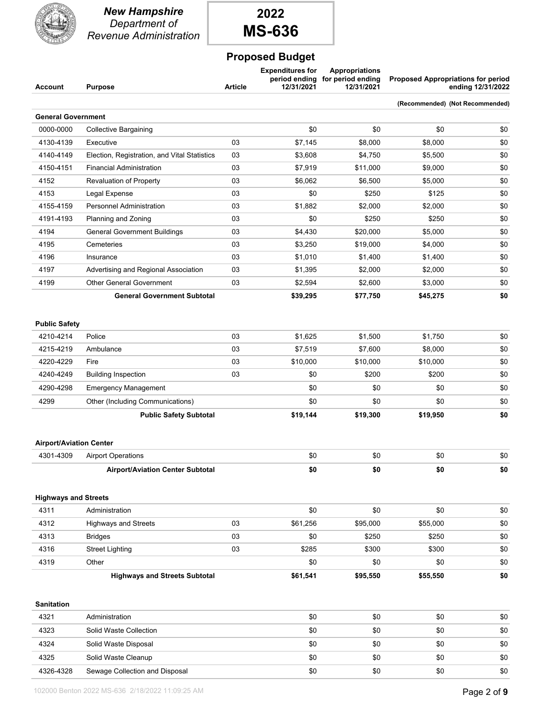

*New Hampshire Department of Revenue Administration*



### **Proposed Budget**

| Account | <b>Purpose</b> | <b>Article</b> | <b>Expenditures for</b><br>12/31/2021 | Appropriations<br>12/31/2021 | period ending for period ending Proposed Appropriations for period<br>ending 12/31/2022 |
|---------|----------------|----------------|---------------------------------------|------------------------------|-----------------------------------------------------------------------------------------|
|         |                |                |                                       |                              | (Recommended) (Not Recommended)                                                         |

| <b>General Government</b> |                                              |    |          |          |          |     |
|---------------------------|----------------------------------------------|----|----------|----------|----------|-----|
| 0000-0000                 | <b>Collective Bargaining</b>                 |    | \$0      | \$0      | \$0      | \$0 |
| 4130-4139                 | Executive                                    | 03 | \$7,145  | \$8,000  | \$8,000  | \$0 |
| 4140-4149                 | Election, Registration, and Vital Statistics | 03 | \$3,608  | \$4,750  | \$5,500  | \$0 |
| 4150-4151                 | <b>Financial Administration</b>              | 03 | \$7,919  | \$11,000 | \$9,000  | \$0 |
| 4152                      | Revaluation of Property                      | 03 | \$6,062  | \$6,500  | \$5,000  | \$0 |
| 4153                      | Legal Expense                                | 03 | \$0      | \$250    | \$125    | \$0 |
| 4155-4159                 | <b>Personnel Administration</b>              | 03 | \$1,882  | \$2,000  | \$2,000  | \$0 |
| 4191-4193                 | Planning and Zoning                          | 03 | \$0      | \$250    | \$250    | \$0 |
| 4194                      | <b>General Government Buildings</b>          | 03 | \$4,430  | \$20,000 | \$5,000  | \$0 |
| 4195                      | Cemeteries                                   | 03 | \$3,250  | \$19,000 | \$4,000  | \$0 |
| 4196                      | Insurance                                    | 03 | \$1,010  | \$1,400  | \$1,400  | \$0 |
| 4197                      | Advertising and Regional Association         | 03 | \$1,395  | \$2,000  | \$2,000  | \$0 |
| 4199                      | <b>Other General Government</b>              | 03 | \$2,594  | \$2,600  | \$3,000  | \$0 |
|                           | <b>General Government Subtotal</b>           |    | \$39,295 | \$77,750 | \$45,275 | \$0 |

#### **Public Safety**

|           | <b>Public Safety Subtotal</b>    |    | \$19,144 | \$19,300 | \$19,950 | \$0 |
|-----------|----------------------------------|----|----------|----------|----------|-----|
| 4299      | Other (Including Communications) |    | \$0      | \$0      | \$0      | \$0 |
| 4290-4298 | <b>Emergency Management</b>      |    | \$0      | \$0      | \$0      | \$0 |
| 4240-4249 | <b>Building Inspection</b>       | 03 | \$0      | \$200    | \$200    | \$0 |
| 4220-4229 | Fire                             | 03 | \$10,000 | \$10,000 | \$10,000 | \$0 |
| 4215-4219 | Ambulance                        | 03 | \$7,519  | \$7,600  | \$8,000  | \$0 |
| 4210-4214 | Police                           | 03 | \$1,625  | \$1.500  | \$1.750  | \$0 |

#### **Airport/Aviation Center**

| 4301-4309 | <b>Airport Operations</b>               | ሖጣ  | ሱሶ<br>ას | \$0 | \$0 |
|-----------|-----------------------------------------|-----|----------|-----|-----|
|           | <b>Airport/Aviation Center Subtotal</b> | -50 | \$0      | \$0 | \$0 |

|      | <b>Highways and Streets Subtotal</b> |    | \$61,541 | \$95,550 | \$55,550 | \$0 |
|------|--------------------------------------|----|----------|----------|----------|-----|
| 4319 | Other                                |    | \$0      | \$0      | \$0      | \$0 |
| 4316 | <b>Street Lighting</b>               | 03 | \$285    | \$300    | \$300    | \$0 |
| 4313 | <b>Bridges</b>                       | 03 | \$0      | \$250    | \$250    | \$0 |
| 4312 | Highways and Streets                 | 03 | \$61,256 | \$95,000 | \$55,000 | \$0 |
| 4311 | Administration                       |    | \$0      | \$0      | \$0      | \$0 |
|      | <b>Highways and Streets</b>          |    |          |          |          |     |

**Sanitation**

| 4321      | Administration                 | \$0 | \$0 | \$0 | \$0 |
|-----------|--------------------------------|-----|-----|-----|-----|
| 4323      | Solid Waste Collection         | \$0 | \$0 | \$0 | \$0 |
| 4324      | Solid Waste Disposal           | \$0 | \$0 | \$0 | \$0 |
| 4325      | Solid Waste Cleanup            | \$0 | \$0 | \$0 | \$0 |
| 4326-4328 | Sewage Collection and Disposal | \$0 | \$0 | \$0 | \$0 |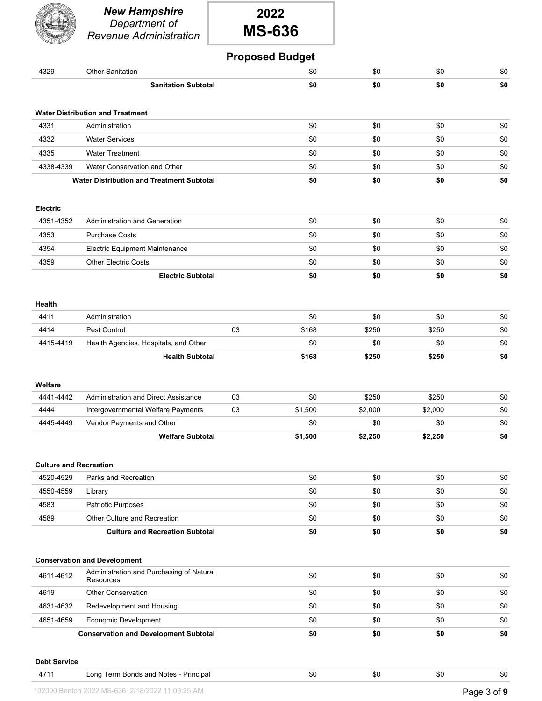|                               | <b>New Hampshire</b><br>Department of<br><b>Revenue Administration</b> | 2022<br><b>MS-636</b> |                        |         |         |     |
|-------------------------------|------------------------------------------------------------------------|-----------------------|------------------------|---------|---------|-----|
|                               |                                                                        |                       | <b>Proposed Budget</b> |         |         |     |
| 4329                          | <b>Other Sanitation</b>                                                |                       | \$0                    | \$0     | \$0     | \$0 |
|                               | <b>Sanitation Subtotal</b>                                             |                       | \$0                    | \$0     | \$0     | \$0 |
|                               | <b>Water Distribution and Treatment</b>                                |                       |                        |         |         |     |
| 4331                          | Administration                                                         |                       | \$0                    | \$0     | \$0     | \$0 |
| 4332                          | <b>Water Services</b>                                                  |                       | \$0                    | \$0     | \$0     | \$0 |
| 4335                          | <b>Water Treatment</b>                                                 |                       | \$0                    | \$0     | \$0     | \$0 |
| 4338-4339                     | Water Conservation and Other                                           |                       | \$0                    | \$0     | \$0     | \$0 |
|                               | <b>Water Distribution and Treatment Subtotal</b>                       |                       | \$0                    | \$0     | \$0     | \$0 |
| <b>Electric</b>               |                                                                        |                       |                        |         |         |     |
| 4351-4352                     | <b>Administration and Generation</b>                                   |                       | \$0                    | \$0     | \$0     | \$0 |
| 4353                          | <b>Purchase Costs</b>                                                  |                       | \$0                    | \$0     | \$0     | \$0 |
| 4354                          | <b>Electric Equipment Maintenance</b>                                  |                       | \$0                    | \$0     | \$0     | \$0 |
| 4359                          | <b>Other Electric Costs</b>                                            |                       | \$0                    | \$0     | \$0     | \$0 |
|                               | <b>Electric Subtotal</b>                                               |                       | \$0                    | \$0     | \$0     | \$0 |
| <b>Health</b>                 |                                                                        |                       |                        |         |         |     |
| 4411                          | Administration                                                         |                       | \$0                    | \$0     | \$0     | \$0 |
| 4414                          | Pest Control                                                           | 03                    | \$168                  | \$250   | \$250   | \$0 |
| 4415-4419                     | Health Agencies, Hospitals, and Other                                  |                       | \$0                    | \$0     | \$0     | \$0 |
|                               | <b>Health Subtotal</b>                                                 |                       | \$168                  | \$250   | \$250   | \$0 |
| Welfare                       |                                                                        |                       |                        |         |         |     |
| 4441-4442                     | Administration and Direct Assistance                                   | 03                    | \$0                    | \$250   | \$250   | \$0 |
| 4444                          | Intergovernmental Welfare Payments                                     | 03                    | \$1,500                | \$2,000 | \$2,000 | \$0 |
| 4445-4449                     | Vendor Payments and Other                                              |                       | \$0                    | \$0     | \$0     | \$0 |
| <b>Culture and Recreation</b> | <b>Welfare Subtotal</b>                                                |                       | \$1,500                | \$2,250 | \$2,250 | \$0 |
| 4520-4529                     | Parks and Recreation                                                   |                       | \$0                    | \$0     | \$0     | \$0 |
| 4550-4559                     | Library                                                                |                       | \$0                    | \$0     | \$0     | \$0 |
| 4583                          | <b>Patriotic Purposes</b>                                              |                       | \$0                    | \$0     | \$0     | \$0 |
| 4589                          | Other Culture and Recreation                                           |                       | \$0                    | \$0     | \$0     | \$0 |
|                               | <b>Culture and Recreation Subtotal</b>                                 |                       | \$0                    | \$0     | \$0     | \$0 |
|                               | <b>Conservation and Development</b>                                    |                       |                        |         |         |     |
| 4611-4612                     | Administration and Purchasing of Natural<br>Resources                  |                       | \$0                    | \$0     | \$0     | \$0 |
| 4619                          | Other Conservation                                                     |                       | \$0                    | \$0     | \$0     | \$0 |
| 4631-4632                     | Redevelopment and Housing                                              |                       | \$0                    | \$0     | \$0     | \$0 |
| 4651-4659                     | Economic Development                                                   |                       | \$0                    | \$0     | \$0     | \$0 |
|                               |                                                                        |                       |                        |         |         |     |

**Debt Service**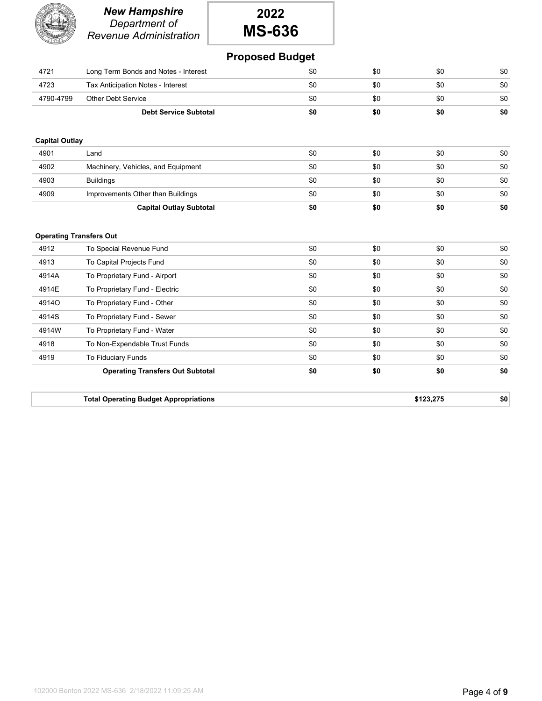|                                | <b>New Hampshire</b><br>Department of<br><b>Revenue Administration</b> | 2022<br><b>MS-636</b>  |     |           |     |
|--------------------------------|------------------------------------------------------------------------|------------------------|-----|-----------|-----|
|                                |                                                                        | <b>Proposed Budget</b> |     |           |     |
| 4721                           | Long Term Bonds and Notes - Interest                                   | \$0                    | \$0 | \$0       | \$0 |
| 4723                           | Tax Anticipation Notes - Interest                                      | \$0                    | \$0 | \$0       | \$0 |
| 4790-4799                      | <b>Other Debt Service</b>                                              | \$0                    | \$0 | \$0       | \$0 |
|                                | <b>Debt Service Subtotal</b>                                           | \$0                    | \$0 | \$0       | \$0 |
|                                |                                                                        |                        |     |           |     |
| <b>Capital Outlay</b>          |                                                                        |                        |     |           |     |
| 4901                           | Land                                                                   | \$0                    | \$0 | \$0       | \$0 |
| 4902                           | Machinery, Vehicles, and Equipment                                     | \$0                    | \$0 | \$0       | \$0 |
| 4903                           | <b>Buildings</b>                                                       | \$0                    | \$0 | \$0       | \$0 |
| 4909                           | Improvements Other than Buildings                                      | \$0                    | \$0 | \$0       | \$0 |
|                                | <b>Capital Outlay Subtotal</b>                                         | \$0                    | \$0 | \$0       | \$0 |
|                                |                                                                        |                        |     |           |     |
| <b>Operating Transfers Out</b> |                                                                        |                        |     |           |     |
| 4912                           | To Special Revenue Fund                                                | \$0                    | \$0 | \$0       | \$0 |
| 4913                           | To Capital Projects Fund                                               | \$0                    | \$0 | \$0       | \$0 |
| 4914A                          | To Proprietary Fund - Airport                                          | \$0                    | \$0 | \$0       | \$0 |
| 4914E                          | To Proprietary Fund - Electric                                         | \$0                    | \$0 | \$0       | \$0 |
| 4914O                          | To Proprietary Fund - Other                                            | \$0                    | \$0 | \$0       | \$0 |
| 4914S                          | To Proprietary Fund - Sewer                                            | \$0                    | \$0 | \$0       | \$0 |
| 4914W                          | To Proprietary Fund - Water                                            | \$0                    | \$0 | \$0       | \$0 |
| 4918                           | To Non-Expendable Trust Funds                                          | \$0                    | \$0 | \$0       | \$0 |
| 4919                           | To Fiduciary Funds                                                     | \$0                    | \$0 | \$0       | \$0 |
|                                | <b>Operating Transfers Out Subtotal</b>                                | \$0                    | \$0 | \$0       | \$0 |
|                                |                                                                        |                        |     |           |     |
|                                | <b>Total Operating Budget Appropriations</b>                           |                        |     | \$123.275 | \$0 |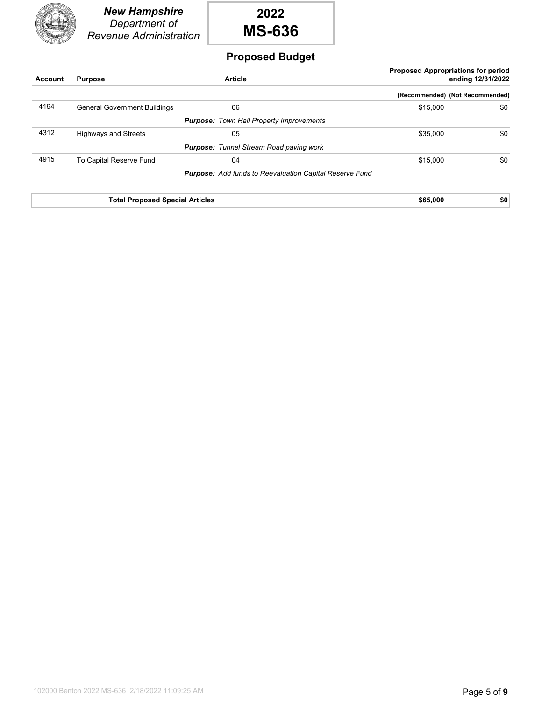



### **Proposed Budget**

| <b>Account</b> | <b>Purpose</b>                      | <b>Article</b>                                                 |          | <b>Proposed Appropriations for period</b><br>ending 12/31/2022 |
|----------------|-------------------------------------|----------------------------------------------------------------|----------|----------------------------------------------------------------|
|                |                                     |                                                                |          | (Recommended) (Not Recommended)                                |
| 4194           | <b>General Government Buildings</b> | 06                                                             | \$15,000 | \$0                                                            |
|                |                                     | <b>Purpose:</b> Town Hall Property Improvements                |          |                                                                |
| 4312           | <b>Highways and Streets</b>         | 05                                                             | \$35,000 | \$0                                                            |
|                |                                     | <b>Purpose:</b> Tunnel Stream Road paving work                 |          |                                                                |
| 4915           | To Capital Reserve Fund             | 04                                                             | \$15,000 | \$0                                                            |
|                |                                     | <b>Purpose:</b> Add funds to Reevaluation Capital Reserve Fund |          |                                                                |
|                |                                     |                                                                |          |                                                                |

**Total Proposed Special Articles \$65,000 \$65,000 \$0**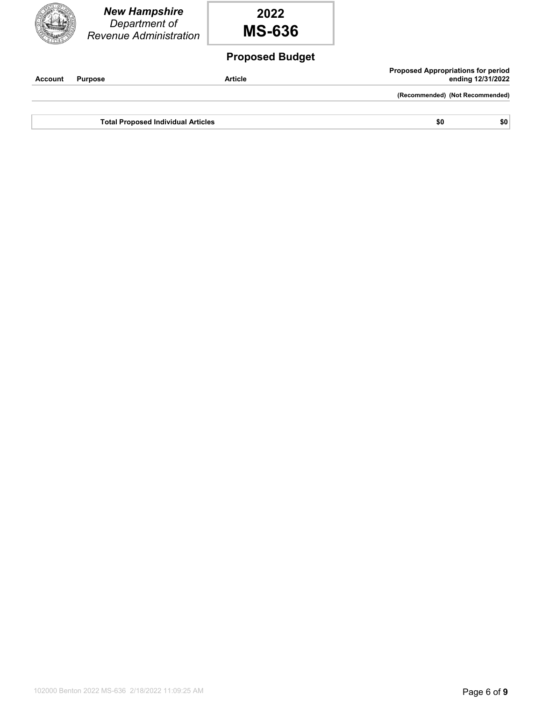*New Hampshire Department of Revenue Administration* **2022 MS-636 Proposed Budget Account Purpose Article**

**Proposed Appropriations for period ending 12/31/2022**

**(Recommended) (Not Recommended)**

**Total Proposed Individual Articles \$0 \$0 \$0 \$0**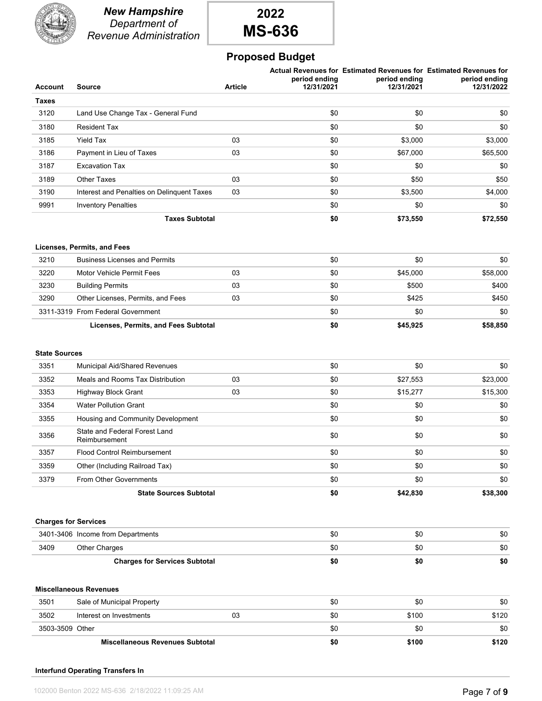

*New Hampshire Department of Revenue Administration*

# **2022 MS-636**

## **Proposed Budget**

| <b>Account</b>               | <b>Source</b>                                                             | <b>Article</b> | period ending<br>12/31/2021 | period ending<br>12/31/2021 | Actual Revenues for Estimated Revenues for Estimated Revenues for<br>period ending<br>12/31/2022 |
|------------------------------|---------------------------------------------------------------------------|----------------|-----------------------------|-----------------------------|--------------------------------------------------------------------------------------------------|
| <b>Taxes</b>                 |                                                                           |                |                             |                             |                                                                                                  |
| 3120                         | Land Use Change Tax - General Fund                                        |                | \$0                         | \$0                         | \$0                                                                                              |
| 3180                         | <b>Resident Tax</b>                                                       |                | \$0                         | \$0                         | \$0                                                                                              |
| 3185                         | <b>Yield Tax</b>                                                          | 03             | \$0                         | \$3,000                     | \$3,000                                                                                          |
| 3186                         | Payment in Lieu of Taxes                                                  | 03             | \$0                         | \$67,000                    | \$65,500                                                                                         |
| 3187                         | <b>Excavation Tax</b>                                                     |                | \$0                         | \$0                         | \$0                                                                                              |
| 3189                         | <b>Other Taxes</b>                                                        | 03             | \$0                         | \$50                        | \$50                                                                                             |
| 3190                         | Interest and Penalties on Delinguent Taxes                                | 03             | \$0                         | \$3,500                     | \$4,000                                                                                          |
| 9991                         | <b>Inventory Penalties</b>                                                |                | \$0                         | \$0                         | \$0                                                                                              |
|                              | <b>Taxes Subtotal</b>                                                     |                | \$0                         | \$73,550                    | \$72,550                                                                                         |
|                              | Licenses, Permits, and Fees                                               |                |                             |                             |                                                                                                  |
| 3210                         | <b>Business Licenses and Permits</b>                                      |                | \$0                         | \$0                         | \$0                                                                                              |
| 3220                         | <b>Motor Vehicle Permit Fees</b>                                          | 03             | \$0                         | \$45,000                    | \$58,000                                                                                         |
| 3230                         | <b>Building Permits</b>                                                   | 03             | \$0                         | \$500                       | \$400                                                                                            |
| 3290                         | Other Licenses, Permits, and Fees                                         | 03             | \$0                         | \$425                       | \$450                                                                                            |
|                              | 3311-3319 From Federal Government<br>Licenses, Permits, and Fees Subtotal |                | \$0<br>\$0                  | \$0<br>\$45,925             | \$0<br>\$58,850                                                                                  |
| <b>State Sources</b><br>3351 | Municipal Aid/Shared Revenues                                             |                | \$0                         | \$0                         | \$0                                                                                              |
| 3352                         | Meals and Rooms Tax Distribution                                          | 03             | \$0                         | \$27,553                    | \$23,000                                                                                         |
| 3353                         | <b>Highway Block Grant</b>                                                | 03             | \$0                         | \$15,277                    | \$15,300                                                                                         |
| 3354                         | <b>Water Pollution Grant</b>                                              |                | \$0                         | \$0                         | \$0                                                                                              |
| 3355                         | Housing and Community Development                                         |                | \$0                         | \$0                         | \$0                                                                                              |
| 3356                         | State and Federal Forest Land<br>Reimbursement                            |                | \$0                         | \$0                         | \$0                                                                                              |
| 3357                         | <b>Flood Control Reimbursement</b>                                        |                | \$0                         | \$0                         | \$0                                                                                              |
| 3359                         | Other (Including Railroad Tax)                                            |                | \$0                         | \$0                         | \$0                                                                                              |
| 3379                         | From Other Governments                                                    |                | \$0                         | \$0                         | \$0                                                                                              |
|                              | <b>State Sources Subtotal</b>                                             |                | \$0                         | \$42,830                    | \$38,300                                                                                         |
|                              | <b>Charges for Services</b>                                               |                |                             |                             |                                                                                                  |
|                              | 3401-3406 Income from Departments                                         |                | \$0                         | \$0                         | \$0                                                                                              |
| 3409                         | Other Charges                                                             |                | \$0                         | \$0                         | \$0                                                                                              |
|                              | <b>Charges for Services Subtotal</b>                                      |                | \$0                         | \$0                         | \$0                                                                                              |
|                              | <b>Miscellaneous Revenues</b>                                             |                |                             |                             |                                                                                                  |
| 3501                         | Sale of Municipal Property                                                |                | \$0                         | \$0                         | \$0                                                                                              |
| 3502                         | Interest on Investments                                                   | 03             | \$0                         | \$100                       | \$120                                                                                            |
| 3503-3509 Other              |                                                                           |                | \$0                         | \$0                         | \$0                                                                                              |
|                              | <b>Miscellaneous Revenues Subtotal</b>                                    |                | \$0                         | \$100                       | \$120                                                                                            |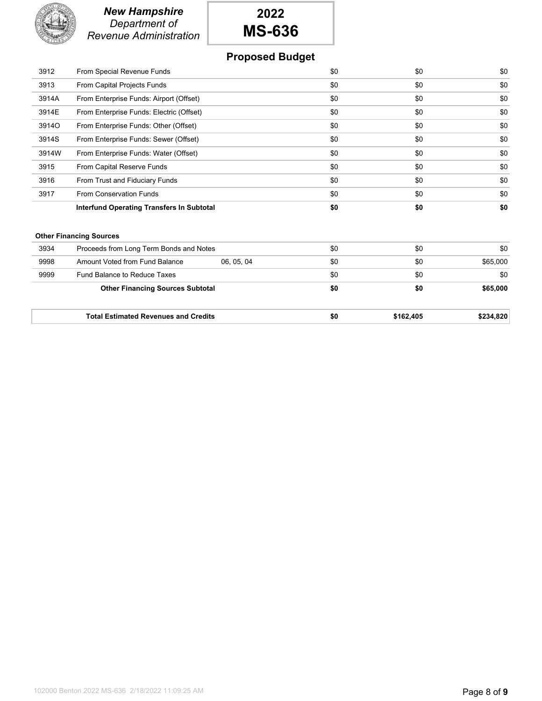

# **2022 MS-636**

## **Proposed Budget**

| 3912  | From Special Revenue Funds                | \$0 | \$0 | \$0 |
|-------|-------------------------------------------|-----|-----|-----|
| 3913  | From Capital Projects Funds               | \$0 | \$0 | \$0 |
| 3914A | From Enterprise Funds: Airport (Offset)   | \$0 | \$0 | \$0 |
| 3914E | From Enterprise Funds: Electric (Offset)  | \$0 | \$0 | \$0 |
| 3914O | From Enterprise Funds: Other (Offset)     | \$0 | \$0 | \$0 |
| 3914S | From Enterprise Funds: Sewer (Offset)     | \$0 | \$0 | \$0 |
| 3914W | From Enterprise Funds: Water (Offset)     | \$0 | \$0 | \$0 |
| 3915  | From Capital Reserve Funds                | \$0 | \$0 | \$0 |
| 3916  | From Trust and Fiduciary Funds            | \$0 | \$0 | \$0 |
| 3917  | <b>From Conservation Funds</b>            | \$0 | \$0 | \$0 |
|       | Interfund Operating Transfers In Subtotal | \$0 | \$0 | \$0 |

#### **Other Financing Sources**

|      | <b>Total Estimated Revenues and Credits</b> |          | \$0 | \$162,405 | \$234,820 |
|------|---------------------------------------------|----------|-----|-----------|-----------|
|      | <b>Other Financing Sources Subtotal</b>     |          | \$0 | \$0       | \$65,000  |
| 9999 | Fund Balance to Reduce Taxes                |          | \$0 | \$0       | \$0       |
| 9998 | Amount Voted from Fund Balance              | 06.05.04 | \$0 | \$0       | \$65,000  |
| 3934 | Proceeds from Long Term Bonds and Notes     |          | \$0 | \$0       | \$0       |